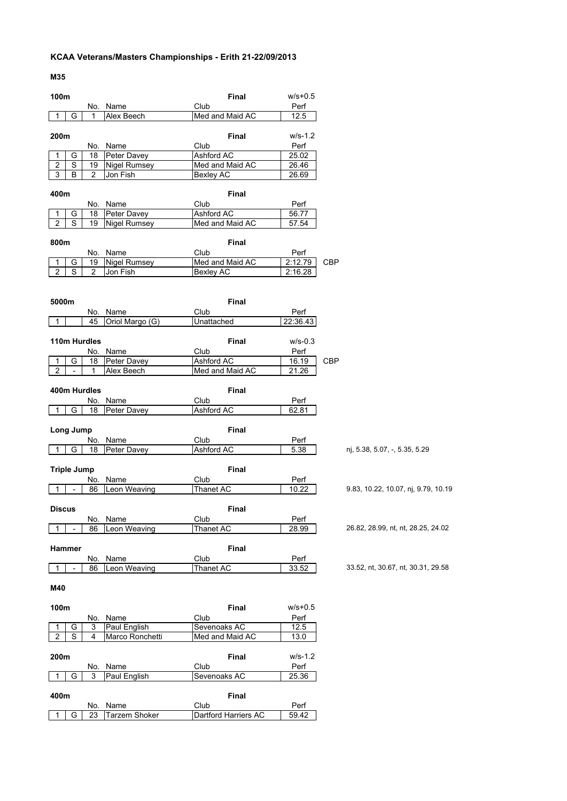## **KCAA Veterans/Masters Championships - Erith 21-22/09/2013**

**M35**

| 100m                    |                          |                |                     |                   | Final           | $w/s + 0.5$ |            |                                     |
|-------------------------|--------------------------|----------------|---------------------|-------------------|-----------------|-------------|------------|-------------------------------------|
|                         |                          |                | No. Name            | Club              |                 | Perf        |            |                                     |
| 1                       | G                        | 1              | Alex Beech          |                   | Med and Maid AC | 12.5        |            |                                     |
|                         |                          |                |                     |                   |                 |             |            |                                     |
| 200m                    |                          |                |                     |                   | Final           | $W/S-1.2$   |            |                                     |
|                         |                          |                | No. Name            | Club              |                 | Perf        |            |                                     |
| 1                       | G                        | 18             | Peter Davey         | Ashford AC        |                 | 25.02       |            |                                     |
| $\overline{\mathbf{c}}$ | $\overline{s}$           | 19             | <b>Nigel Rumsey</b> |                   | Med and Maid AC | 26.46       |            |                                     |
| 3                       | B                        | $\overline{2}$ | Jon Fish            | Bexley AC         |                 | 26.69       |            |                                     |
| 400m                    |                          |                |                     |                   | <b>Final</b>    |             |            |                                     |
|                         |                          |                | No. Name            | Club              |                 | Perf        |            |                                     |
| 1                       | G                        | 18             | Peter Davey         | Ashford AC        |                 | 56.77       |            |                                     |
| $\overline{c}$          | S                        | 19             | <b>Nigel Rumsey</b> |                   | Med and Maid AC | 57.54       |            |                                     |
|                         |                          |                |                     |                   |                 |             |            |                                     |
| 800m                    |                          |                |                     |                   | <b>Final</b>    |             |            |                                     |
|                         |                          |                | No. Name            | Club              |                 | Perf        |            |                                     |
| 1                       | G                        | 19             | <b>Nigel Rumsey</b> |                   | Med and Maid AC | 2:12.79     | <b>CBP</b> |                                     |
| $\overline{c}$          | S                        | $\overline{2}$ | Jon Fish            | Bexley AC         |                 | 2:16.28     |            |                                     |
|                         |                          |                |                     |                   |                 |             |            |                                     |
|                         |                          |                |                     |                   |                 |             |            |                                     |
| 5000m                   |                          |                |                     |                   | Final           |             |            |                                     |
|                         |                          |                | No. Name            | Club              |                 | Perf        |            |                                     |
| 1                       |                          | 45             | Oriol Margo (G)     | Unattached        |                 | 22:36.43    |            |                                     |
|                         |                          |                |                     |                   |                 |             |            |                                     |
|                         |                          | 110m Hurdles   |                     |                   | <b>Final</b>    | $W/S-0.3$   |            |                                     |
|                         |                          | No.            | Name                | Club              |                 | Perf        |            |                                     |
| $\overline{1}$          | G                        | 18             | Peter Davey         | Ashford AC        |                 | 16.19       | CBP        |                                     |
| $\overline{2}$          |                          | 1              | Alex Beech          |                   | Med and Maid AC | 21.26       |            |                                     |
|                         |                          |                |                     |                   |                 |             |            |                                     |
|                         |                          | 400m Hurdles   |                     |                   | <b>Final</b>    |             |            |                                     |
|                         |                          | No.            | Name                | Club              |                 | Perf        |            |                                     |
| $\mathbf{1}$            | G                        | 18             | Peter Davey         | <b>Ashford AC</b> |                 | 62.81       |            |                                     |
|                         |                          |                |                     |                   |                 |             |            |                                     |
|                         | Long Jump                |                |                     |                   | Final           |             |            |                                     |
|                         |                          | No.            | Name                | Club              |                 | Perf        |            |                                     |
| 1                       | G                        | 18             | Peter Davey         | Ashford AC        |                 | 5.38        |            | nj, 5.38, 5.07, -, 5.35, 5.29       |
|                         |                          |                |                     |                   |                 |             |            |                                     |
|                         | <b>Triple Jump</b>       |                |                     |                   | <b>Final</b>    |             |            |                                     |
|                         |                          | No.            | Name                | Club              |                 | Perf        |            |                                     |
| 1                       | $\overline{\phantom{a}}$ | 86             | Leon Weaving        | Thanet AC         |                 | 10.22       |            | 9.83, 10.22, 10.07, nj, 9.79, 10.19 |
|                         |                          |                |                     |                   |                 |             |            |                                     |
| <b>Discus</b>           |                          |                |                     |                   | <b>Final</b>    |             |            |                                     |
|                         |                          | No.            | Name                | Club              |                 | Perf        |            |                                     |
| 1                       | $\overline{a}$           | 86             | Leon Weaving        | Thanet AC         |                 | 28.99       |            | 26.82, 28.99, nt, nt, 28.25, 24.02  |
|                         |                          |                |                     |                   |                 |             |            |                                     |
| Hammer                  |                          |                |                     |                   | <b>Final</b>    |             |            |                                     |
|                         |                          | No.            | Name                | Club              |                 | Perf        |            |                                     |
| 1                       |                          | 86             | Leon Weaving        | Thanet AC         |                 | 33.52       |            | 33.52, nt, 30.67, nt, 30.31, 29.58  |
|                         |                          |                |                     |                   |                 |             |            |                                     |
| M40                     |                          |                |                     |                   |                 |             |            |                                     |
|                         |                          |                |                     |                   |                 |             |            |                                     |
| 100m                    |                          |                |                     |                   | Final           | $w/s + 0.5$ |            |                                     |
|                         |                          | No.            | Name                | Club              |                 | Perf        |            |                                     |
| 1                       | G                        | 3              | Paul English        | Sevenoaks AC      |                 | 12.5        |            |                                     |
| 2                       | S                        | 4              | Marco Ronchetti     |                   | Med and Maid AC | 13.0        |            |                                     |
|                         |                          |                |                     |                   |                 |             |            |                                     |
| 200m                    |                          |                |                     |                   | <b>Final</b>    | $W/S-1.2$   |            |                                     |
|                         |                          | No.            | Name                | Club              |                 | Perf        |            |                                     |
| 1                       | G                        | 3              | Paul English        | Sevenoaks AC      |                 | 25.36       |            |                                     |
| 400m                    |                          |                |                     |                   |                 |             |            |                                     |
|                         |                          |                | No. Name            | Club              | <b>Final</b>    | Perf        |            |                                     |
|                         |                          |                |                     |                   |                 |             |            |                                     |

1 | G | 23 | Tarzem Shoker | Dartford Harriers AC | 59.42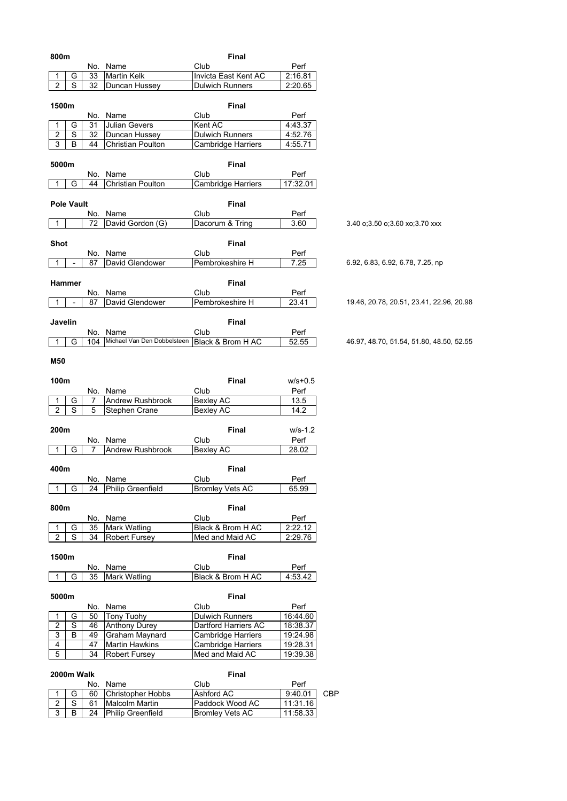| 800m                                          |                          |           |                                  | Final                     |                 |                                          |
|-----------------------------------------------|--------------------------|-----------|----------------------------------|---------------------------|-----------------|------------------------------------------|
|                                               |                          |           | No. Name                         | Club                      | Perf            |                                          |
| 1                                             | G                        | 33        | <b>Martin Kelk</b>               | Invicta East Kent AC      | 2:16.81         |                                          |
| $\overline{2}$                                | S                        | 32        | Duncan Hussey                    | <b>Dulwich Runners</b>    | 2:20.65         |                                          |
|                                               |                          |           |                                  |                           |                 |                                          |
| 1500m                                         |                          |           |                                  | Final                     |                 |                                          |
|                                               |                          | No.       | Name                             | Club                      | Perf            |                                          |
| 1                                             | G                        | 31        | Julian Gevers                    | Kent AC                   | 4:43.37         |                                          |
| $\boldsymbol{2}$<br>$\ensuremath{\mathsf{3}}$ | S                        | 32        | Duncan Hussey                    | <b>Dulwich Runners</b>    | 4:52.76         |                                          |
|                                               | B                        | 44        | Christian Poulton                | <b>Cambridge Harriers</b> | 4:55.71         |                                          |
| 5000m                                         |                          |           |                                  | Final                     |                 |                                          |
|                                               |                          |           | No. Name                         | Club                      | Perf            |                                          |
|                                               | G                        | 44        | Christian Poulton                | Cambridge Harriers        | 17:32.01        |                                          |
|                                               |                          |           |                                  |                           |                 |                                          |
|                                               | <b>Pole Vault</b>        |           |                                  | Final                     |                 |                                          |
|                                               |                          |           | No. Name                         | Club                      | Perf            |                                          |
| 1                                             |                          | 72        | David Gordon (G)                 | Dacorum & Tring           | 3.60            | 3.40 o;3.50 o;3.60 xo;3.70 xxx           |
|                                               |                          |           |                                  |                           |                 |                                          |
| <b>Shot</b>                                   |                          |           |                                  | <b>Final</b>              |                 |                                          |
|                                               |                          |           | No. Name<br>David Glendower      | Club                      | Perf            |                                          |
| 1                                             | $\overline{\phantom{a}}$ | 87        |                                  | Pembrokeshire H           | 7.25            | 6.92, 6.83, 6.92, 6.78, 7.25, np         |
|                                               |                          |           |                                  | <b>Final</b>              |                 |                                          |
| Hammer                                        |                          |           |                                  |                           |                 |                                          |
| 1                                             | $\overline{a}$           | 87        | No. Name<br>David Glendower      | Club<br>Pembrokeshire H   | Perf<br>23.41   | 19.46, 20.78, 20.51, 23.41, 22.96, 20.98 |
|                                               |                          |           |                                  |                           |                 |                                          |
| Javelin                                       |                          |           |                                  | Final                     |                 |                                          |
|                                               |                          | No.       | Name                             | Club                      | Perf            |                                          |
| 1                                             | G                        | 104       | Michael Van Den Dobbelsteen      | Black & Brom H AC         | 52.55           | 46.97, 48.70, 51.54, 51.80, 48.50, 52.55 |
|                                               |                          |           |                                  |                           |                 |                                          |
| M50                                           |                          |           |                                  |                           |                 |                                          |
|                                               |                          |           |                                  |                           |                 |                                          |
| 100m                                          |                          |           |                                  | Final                     | $w/s + 0.5$     |                                          |
|                                               |                          |           |                                  |                           |                 |                                          |
|                                               |                          |           | No. Name                         | Club                      | Perf            |                                          |
| 1                                             | G                        | 7         | Andrew Rushbrook                 | <b>Bexley AC</b>          | 13.5            |                                          |
| $\overline{2}$                                | S                        | 5         | <b>Stephen Crane</b>             | Bexley AC                 | 14.2            |                                          |
|                                               |                          |           |                                  |                           |                 |                                          |
| 200m                                          |                          |           |                                  | Final                     | $w/s-1.2$       |                                          |
|                                               |                          |           | No. Name                         | Club                      | Perf            |                                          |
| 1                                             | G                        | 7         | Andrew Rushbrook                 | <b>Bexley AC</b>          | 28.02           |                                          |
|                                               |                          |           |                                  |                           |                 |                                          |
| 400m                                          |                          |           |                                  | Final                     |                 |                                          |
|                                               |                          |           | No. Name                         | Club                      | Perf            |                                          |
| 1                                             | G                        | 24        | <b>Philip Greenfield</b>         | <b>Bromley Vets AC</b>    | 65.99           |                                          |
|                                               |                          |           |                                  |                           |                 |                                          |
| 800m                                          |                          |           |                                  | Final                     |                 |                                          |
|                                               |                          |           | No. Name                         | Club                      | Perf            |                                          |
| 1                                             | G                        | 35<br>34  | <b>Mark Watling</b>              | Black & Brom H AC         | 2:22.12         |                                          |
| $\overline{2}$                                | $\overline{s}$           |           | <b>Robert Fursey</b>             | Med and Maid AC           | 2:29.76         |                                          |
|                                               |                          |           |                                  |                           |                 |                                          |
| 1500m                                         |                          |           |                                  | <b>Final</b>              |                 |                                          |
| 1                                             | G                        | 35        | No. Name                         | Club<br>Black & Brom H AC | Perf<br>4:53.42 |                                          |
|                                               |                          |           | Mark Watling                     |                           |                 |                                          |
| 5000m                                         |                          |           |                                  | <b>Final</b>              |                 |                                          |
|                                               |                          |           | No. Name                         | Club                      | Perf            |                                          |
| 1                                             | G                        | 50        | <b>Tony Tuohy</b>                | <b>Dulwich Runners</b>    | 16:44.60        |                                          |
| $\overline{2}$                                | $\mathbb S$              | 46        | <b>Anthony Durey</b>             | Dartford Harriers AC      | 18:38.37        |                                          |
| 3                                             | B                        | 49        | Graham Maynard                   | Cambridge Harriers        | 19:24.98        |                                          |
| $\overline{4}$                                |                          | 47        | <b>Martin Hawkins</b>            | <b>Cambridge Harriers</b> | 19:28.31        |                                          |
| $\overline{5}$                                |                          | 34        | <b>Robert Fursey</b>             | Med and Maid AC           | 19:39.38        |                                          |
|                                               |                          |           |                                  |                           |                 |                                          |
|                                               | 2000m Walk               |           |                                  | Final                     |                 |                                          |
| 1                                             | G                        | No.<br>60 | Name<br><b>Christopher Hobbs</b> | Club<br><b>Ashford AC</b> | Perf<br>9:40.01 | CBP                                      |

2 S | 61 | Malcolm Martin | Paddock Wood AC | 11:31.16 3 | B | 24 | Philip Greenfield | Bromley Vets AC | 11:58.33

 $\mathsf I$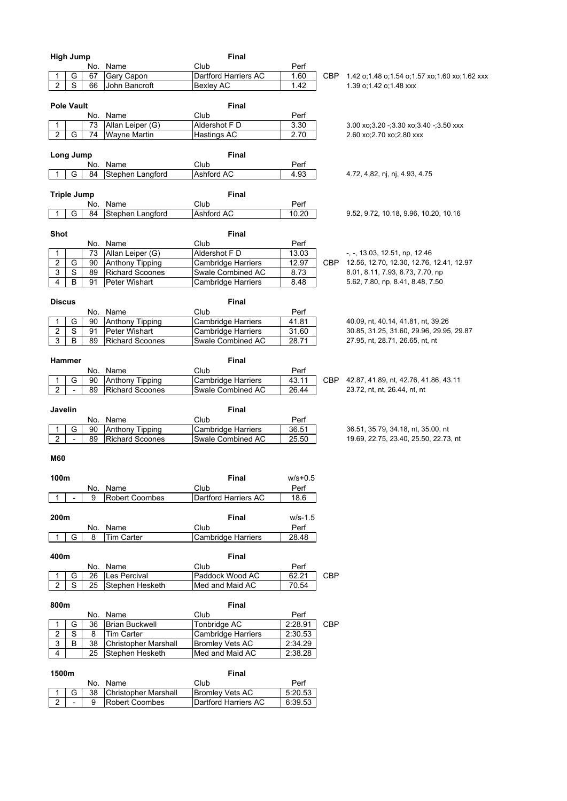|                     | <b>High Jump</b>             |          |                                                  |                                   | Final                |                   |       |                                                                                 |
|---------------------|------------------------------|----------|--------------------------------------------------|-----------------------------------|----------------------|-------------------|-------|---------------------------------------------------------------------------------|
|                     |                              |          | No. Name                                         | Club                              |                      | Perf              |       |                                                                                 |
|                     | G                            | 67       | Gary Capon                                       |                                   | Dartford Harriers AC | 1.60              | CBP   | 1.42 o;1.48 o;1.54 o;1.57 xo;1.60 xo;1.62 xxx                                   |
| $\overline{2}$      | $\overline{s}$               | 66       | John Bancroft                                    | <b>Bexley AC</b>                  |                      | 1.42              |       | 1.39 o;1.42 o;1.48 xxx                                                          |
|                     |                              |          |                                                  |                                   |                      |                   |       |                                                                                 |
|                     | <b>Pole Vault</b>            |          |                                                  |                                   | Final                |                   |       |                                                                                 |
|                     |                              | No.      | Name                                             | Club                              |                      | Perf              |       |                                                                                 |
| 1                   |                              | 73       | Allan Leiper (G)                                 | Aldershot F D                     |                      | $\overline{3}.30$ |       | $3.00 \times 3.20 - 3.30 \times 3.40 - 3.50 \times x$                           |
| $\overline{2}$      | G                            | 74       | <b>Wayne Martin</b>                              | Hastings AC                       |                      | 2.70              |       | 2.60 xo; 2.70 xo; 2.80 xxx                                                      |
|                     |                              |          |                                                  |                                   |                      |                   |       |                                                                                 |
|                     | Long Jump                    |          |                                                  |                                   | Final                |                   |       |                                                                                 |
|                     |                              | No.      | Name                                             | Club                              |                      | Perf              |       |                                                                                 |
|                     | G                            | 84       | Stephen Langford                                 | Ashford AC                        |                      | 4.93              |       | 4.72, 4,82, nj, nj, 4.93, 4.75                                                  |
|                     |                              |          |                                                  |                                   |                      |                   |       |                                                                                 |
|                     | <b>Triple Jump</b>           |          |                                                  |                                   | <b>Final</b>         |                   |       |                                                                                 |
|                     | G                            | No.      | Name                                             | Club                              |                      | Perf<br>10.20     |       |                                                                                 |
| -1                  |                              | 84       | Stephen Langford                                 | Ashford AC                        |                      |                   |       | 9.52, 9.72, 10.18, 9.96, 10.20, 10.16                                           |
|                     |                              |          |                                                  |                                   |                      |                   |       |                                                                                 |
| Shot                |                              |          |                                                  |                                   | Final                |                   |       |                                                                                 |
|                     |                              |          | No. Name                                         | Club                              |                      | Perf              |       |                                                                                 |
| 1                   |                              | 73       | Allan Leiper (G)                                 | Aldershot F D                     |                      | 13.03             |       | $-$ , $-$ , 13.03, 12.51, np, 12.46<br>12.56, 12.70, 12.30, 12.76, 12.41, 12.97 |
| $\overline{2}$<br>3 | G<br>$\overline{\mathsf{s}}$ | 90<br>89 | <b>Anthony Tipping</b><br><b>Richard Scoones</b> | <b>Cambridge Harriers</b>         | Swale Combined AC    | 12.97             | CBP . | 8.01, 8.11, 7.93, 8.73, 7.70, np                                                |
| $\overline{4}$      | B                            | 91       |                                                  |                                   |                      | 8.73              |       | 5.62, 7.80, np, 8.41, 8.48, 7.50                                                |
|                     |                              |          | Peter Wishart                                    | Cambridge Harriers                |                      | 8.48              |       |                                                                                 |
|                     |                              |          |                                                  |                                   |                      |                   |       |                                                                                 |
| <b>Discus</b>       |                              |          |                                                  |                                   | <b>Final</b>         |                   |       |                                                                                 |
|                     |                              |          | No. Name                                         | Club<br><b>Cambridge Harriers</b> |                      | Perf              |       | 40.09, nt, 40.14, 41.81, nt, 39.26                                              |
| 1<br>2              | G<br>$\overline{s}$          | 90<br>91 | Anthony Tipping<br>Peter Wishart                 |                                   |                      | 41.81<br>31.60    |       |                                                                                 |
| 3                   | В                            | 89       | <b>Richard Scoones</b>                           | Cambridge Harriers                | Swale Combined AC    |                   |       | 30.85, 31.25, 31.60, 29.96, 29.95, 29.87<br>27.95, nt, 28.71, 26.65, nt, nt     |
|                     |                              |          |                                                  |                                   |                      | 28.71             |       |                                                                                 |
|                     |                              |          |                                                  |                                   | Final                |                   |       |                                                                                 |
|                     | Hammer                       |          |                                                  |                                   |                      |                   |       |                                                                                 |
| 1                   | G                            | 90       | No. Name<br>Anthony Tipping                      | Club<br><b>Cambridge Harriers</b> |                      | Perf<br>43.11     | CBP   | 42.87, 41.89, nt, 42.76, 41.86, 43.11                                           |
| $\overline{2}$      |                              | 89       | <b>Richard Scoones</b>                           |                                   | Swale Combined AC    | 26.44             |       | 23.72, nt, nt, 26.44, nt, nt                                                    |
|                     |                              |          |                                                  |                                   |                      |                   |       |                                                                                 |
| Javelin             |                              |          |                                                  |                                   | Final                |                   |       |                                                                                 |
|                     |                              |          | No. Name                                         | Club                              |                      | Perf              |       |                                                                                 |
| 1                   | G                            | 90       | Anthony Tipping                                  | Cambridge Harriers                |                      | 36.51             |       | 36.51, 35.79, 34.18, nt, 35.00, nt                                              |
| 2                   |                              | 89       | <b>Richard Scoones</b>                           |                                   | Swale Combined AC    | 25.50             |       | 19.69, 22.75, 23.40, 25.50, 22.73, nt                                           |
|                     |                              |          |                                                  |                                   |                      |                   |       |                                                                                 |
| <b>M60</b>          |                              |          |                                                  |                                   |                      |                   |       |                                                                                 |
|                     |                              |          |                                                  |                                   |                      |                   |       |                                                                                 |
| 100m                |                              |          |                                                  |                                   | <b>Final</b>         | $w/s + 0.5$       |       |                                                                                 |
|                     |                              |          | No. Name                                         | Club                              |                      | Perf              |       |                                                                                 |
| 1                   |                              | 9        | <b>Robert Coombes</b>                            |                                   | Dartford Harriers AC | 18.6              |       |                                                                                 |
|                     |                              |          |                                                  |                                   |                      |                   |       |                                                                                 |
| 200m                |                              |          |                                                  |                                   | Final                | w/s-1.5           |       |                                                                                 |
|                     |                              |          | No. Name                                         | Club                              |                      | Perf              |       |                                                                                 |
| -1                  | G                            | 8        | <b>Tim Carter</b>                                | <b>Cambridge Harriers</b>         |                      | 28.48             |       |                                                                                 |
|                     |                              |          |                                                  |                                   |                      |                   |       |                                                                                 |
| 400m                |                              |          |                                                  |                                   | <b>Final</b>         |                   |       |                                                                                 |
|                     |                              | No.      | Name                                             | Club                              |                      | Perf              |       |                                                                                 |
| 1                   | G                            | 26       | Les Percival                                     | Paddock Wood AC                   |                      | 62.21             | CBP   |                                                                                 |
| $\overline{2}$      | $\mathbf S$                  | 25       | Stephen Hesketh                                  | Med and Maid AC                   |                      | 70.54             |       |                                                                                 |
|                     |                              |          |                                                  |                                   |                      |                   |       |                                                                                 |
| 800m                |                              |          |                                                  |                                   | Final                |                   |       |                                                                                 |
|                     |                              | No.      | Name                                             | Club                              |                      | Perf              |       |                                                                                 |
| 1                   | G                            | 36       | <b>Brian Buckwell</b>                            | Tonbridge AC                      |                      | 2:28.91           | CBP   |                                                                                 |
| $\overline{2}$      | $\overline{s}$               | 8        | Tim Carter                                       | <b>Cambridge Harriers</b>         |                      | 2:30.53           |       |                                                                                 |
| 3                   | B                            | 38       | <b>Christopher Marshall</b>                      | <b>Bromley Vets AC</b>            |                      | 2:34.29           |       |                                                                                 |
| 4                   |                              | 25       | Stephen Hesketh                                  | Med and Maid AC                   |                      | 2:38.28           |       |                                                                                 |
|                     |                              |          |                                                  |                                   |                      |                   |       |                                                                                 |
| 1500m               |                              |          |                                                  |                                   | <b>Final</b>         |                   |       |                                                                                 |
|                     |                              | No.      | Name                                             | Club                              |                      | Perf              |       |                                                                                 |
|                     | G                            | 38       | <b>Christopher Marshall</b>                      | <b>Bromley Vets AC</b>            |                      | 5:20.53           |       |                                                                                 |
| 2                   | $\overline{a}$               | 9        | <b>Robert Coombes</b>                            |                                   | Dartford Harriers AC | 6:39.53           |       |                                                                                 |
|                     |                              |          |                                                  |                                   |                      |                   |       |                                                                                 |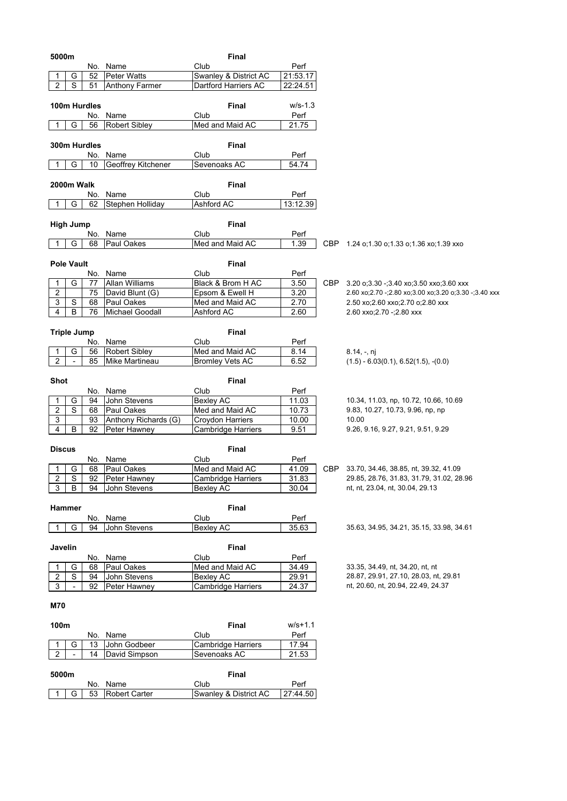| 5000m                                     |                              | <b>Final</b>            |              |                                                             |
|-------------------------------------------|------------------------------|-------------------------|--------------|-------------------------------------------------------------|
|                                           | No. Name                     | Club                    | Perf         |                                                             |
| G<br>52                                   | <b>Peter Watts</b>           | Swanley & District AC   | 21:53.17     |                                                             |
| S<br>$\overline{2}$<br>51                 | <b>Anthony Farmer</b>        | Dartford Harriers AC    | 22:24.51     |                                                             |
|                                           |                              |                         |              |                                                             |
| 100m Hurdles                              |                              | Final                   | $W/S-1.3$    |                                                             |
| No.                                       | Name                         | Club                    | Perf         |                                                             |
| G<br>56<br>1                              | <b>Robert Sibley</b>         | Med and Maid AC         | 21.75        |                                                             |
|                                           |                              |                         |              |                                                             |
| 300m Hurdles                              |                              | Final                   |              |                                                             |
|                                           | No. Name                     | Club                    | Perf         |                                                             |
| G<br>10<br>1                              | Geoffrey Kitchener           | Sevenoaks AC            | 54.74        |                                                             |
|                                           |                              |                         |              |                                                             |
| 2000m Walk                                |                              | Final                   |              |                                                             |
|                                           | No. Name                     | Club                    | Perf         |                                                             |
| G<br>62<br>-1                             | Stephen Holliday             | Ashford AC              | 13:12.39     |                                                             |
|                                           |                              |                         |              |                                                             |
| <b>High Jump</b>                          |                              | Final                   |              |                                                             |
|                                           | No. Name                     | Club                    | Perf         |                                                             |
| G<br>68<br>-1                             | Paul Oakes                   | Med and Maid AC         | 1.39         | CBP 1.24 o;1.30 o;1.33 o;1.36 xo;1.39 xxo                   |
|                                           |                              |                         |              |                                                             |
| <b>Pole Vault</b>                         |                              | Final                   |              |                                                             |
| No.                                       | Name                         | Club                    | Perf         |                                                             |
| G<br>77<br>1                              | Allan Williams               | Black & Brom H AC       | 3.50         | CBP 3.20 0;3.30 -;3.40 x0;3.50 xx0;3.60 xxx                 |
| $\overline{\mathbf{c}}$<br>75             | David Blunt (G)              | Epsom & Ewell H         | 3.20         | 2.60 xo; 2.70 -; 2.80 xo; 3.00 xo; 3.20 o; 3.30 -; 3.40 xxx |
| 3<br>S<br>68                              | Paul Oakes                   | Med and Maid AC         | 2.70         | 2.50 xo; 2.60 xxo; 2.70 o; 2.80 xxx                         |
| 4<br>B<br>76                              | Michael Goodall              | Ashford AC              | 2.60         | 2.60 xxo; 2.70 -; 2.80 xxx                                  |
|                                           |                              |                         |              |                                                             |
| <b>Triple Jump</b>                        |                              | Final                   |              |                                                             |
|                                           |                              |                         |              |                                                             |
| No.<br>G<br>56                            | Name<br><b>Robert Sibley</b> | Club<br>Med and Maid AC | Perf<br>8.14 |                                                             |
| 1<br>2<br>$\overline{\phantom{a}}$<br>85  | Mike Martineau               | <b>Bromley Vets AC</b>  | 6.52         | $8.14, -, n$ j                                              |
|                                           |                              |                         |              | $(1.5) - 6.03(0.1), 6.52(1.5), -(0.0)$                      |
|                                           |                              |                         |              |                                                             |
| Shot                                      |                              | <b>Final</b>            |              |                                                             |
|                                           | No. Name                     | Club                    | Perf         |                                                             |
| G<br>94<br>1                              | John Stevens                 | <b>Bexley AC</b>        | 11.03        | 10.34, 11.03, np, 10.72, 10.66, 10.69                       |
| 2<br>S<br>68                              | <b>Paul Oakes</b>            | Med and Maid AC         | 10.73        | 9.83, 10.27, 10.73, 9.96, np, np<br>10.00                   |
| 3<br>93                                   | Anthony Richards (G)         | Croydon Harriers        | 10.00        |                                                             |
| 4<br>В<br>92                              | Peter Hawney                 | Cambridge Harriers      | 9.51         | 9.26, 9.16, 9.27, 9.21, 9.51, 9.29                          |
|                                           |                              |                         |              |                                                             |
| <b>Discus</b>                             |                              | <b>Final</b>            |              |                                                             |
|                                           | No. Name                     | Club                    | Perf         |                                                             |
| G<br>68                                   | Paul Oakes                   | Med and Maid AC         | 41.09        | CBP 33.70, 34.46, 38.85, nt, 39.32, 41.09                   |
| $\overline{c}$<br>$\overline{\mathsf{s}}$ | 92 Peter Hawney              | Cambridge Harriers      | 31.83        | 29.85, 28.76, 31.83, 31.79, 31.02, 28.96                    |
| 3<br>B<br>94                              | John Stevens                 | Bexley AC               | 30.04        | nt, nt, 23.04, nt, 30.04, 29.13                             |
|                                           |                              |                         |              |                                                             |
| Hammer                                    |                              | Final                   |              |                                                             |
|                                           | No. Name                     | Club                    | Perf         |                                                             |
| G<br>94<br>-1                             | John Stevens                 | Bexley AC               | 35.63        | 35.63, 34.95, 34.21, 35.15, 33.98, 34.61                    |
|                                           |                              |                         |              |                                                             |
| Javelin                                   |                              | <b>Final</b>            |              |                                                             |
|                                           | No. Name                     | Club                    | Perf         |                                                             |
| G<br>68<br>1                              | Paul Oakes                   | Med and Maid AC         | 34.49        | 33.35, 34.49, nt, 34.20, nt, nt                             |
| $\overline{s}$<br>$\overline{2}$<br>94    | John Stevens                 | Bexley AC               | 29.91        | 28.87, 29.91, 27.10, 28.03, nt, 29.81                       |
| 3<br>$\blacksquare$<br>92                 | Peter Hawney                 | Cambridge Harriers      | 24.37        | nt, 20.60, nt, 20.94, 22.49, 24.37                          |
|                                           |                              |                         |              |                                                             |
| <b>M70</b>                                |                              |                         |              |                                                             |
|                                           |                              |                         |              |                                                             |
| 100m                                      |                              | <b>Final</b>            | $W/S + 1.1$  |                                                             |
|                                           | No. Name                     | Club                    | Perf         |                                                             |
| G<br>13<br>1                              | John Godbeer                 | Cambridge Harriers      | 17.94        |                                                             |
| $\overline{2}$<br>14                      | David Simpson                | Sevenoaks AC            | 21.53        |                                                             |
|                                           |                              |                         |              |                                                             |

| 5000m |  |  |  |                            | Final                 |          |
|-------|--|--|--|----------------------------|-----------------------|----------|
|       |  |  |  | No. Name                   | Club                  | Perf     |
|       |  |  |  | 1   G   53   Robert Carter | Swanley & District AC | 27:44.50 |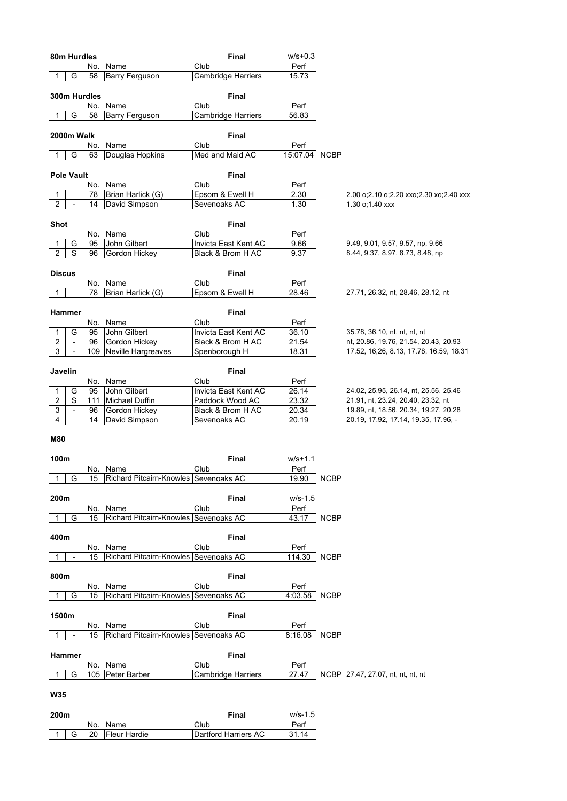| 80m Hurdles         |                               |              |                                          |               | <b>Final</b>                              | $w/s + 0.3$    |             |                                                                               |
|---------------------|-------------------------------|--------------|------------------------------------------|---------------|-------------------------------------------|----------------|-------------|-------------------------------------------------------------------------------|
| 1                   | G                             | No.<br>58    | Name<br>Barry Ferguson                   | Club          | Cambridge Harriers                        | Perf<br>15.73  |             |                                                                               |
|                     |                               |              |                                          |               |                                           |                |             |                                                                               |
|                     |                               | 300m Hurdles |                                          |               | <b>Final</b>                              |                |             |                                                                               |
|                     |                               | No.          | Name                                     | Club          |                                           | Perf           |             |                                                                               |
| 1                   | G                             | 58           | Barry Ferguson                           |               | Cambridge Harriers                        | 56.83          |             |                                                                               |
|                     |                               |              |                                          |               |                                           |                |             |                                                                               |
| 2000m Walk          |                               |              |                                          |               | <b>Final</b>                              |                |             |                                                                               |
|                     |                               | No.          | Name                                     | Club          |                                           | Perf           |             |                                                                               |
| 1                   | G                             | 63           | Douglas Hopkins                          |               | Med and Maid AC                           | 15:07.04       | <b>NCBP</b> |                                                                               |
| <b>Pole Vault</b>   |                               |              |                                          |               | Final                                     |                |             |                                                                               |
|                     |                               | No.          | Name                                     | Club          |                                           | Perf           |             |                                                                               |
| 1                   |                               | 78           | Brian Harlick (G)                        |               | Epsom & Ewell H                           | 2.30           |             | 2.00 o;2.10 o;2.20 xxo;2.30 xo;2.40 xxx                                       |
| $\overline{2}$      | $\overline{\phantom{a}}$      | 14           | David Simpson                            | Sevenoaks AC  |                                           | 1.30           |             | 1.30 o;1.40 xxx                                                               |
|                     |                               |              |                                          |               |                                           |                |             |                                                                               |
| Shot                |                               |              |                                          |               | Final                                     |                |             |                                                                               |
|                     |                               |              | No. Name                                 | Club          |                                           | Perf           |             |                                                                               |
| 1<br>$\overline{c}$ | G<br>S                        | 95<br>96     | John Gilbert<br>Gordon Hickey            |               | Invicta East Kent AC<br>Black & Brom H AC | 9.66<br>9.37   |             | 9.49, 9.01, 9.57, 9.57, np, 9.66<br>8.44, 9.37, 8.97, 8.73, 8.48, np          |
|                     |                               |              |                                          |               |                                           |                |             |                                                                               |
| <b>Discus</b>       |                               |              |                                          |               | Final                                     |                |             |                                                                               |
|                     |                               |              | No. Name                                 | Club          |                                           | Perf           |             |                                                                               |
| $\mathbf{1}$        |                               | 78           | Brian Harlick (G)                        |               | Epsom & Ewell H                           | 28.46          |             | 27.71, 26.32, nt, 28.46, 28.12, nt                                            |
|                     |                               |              |                                          |               |                                           |                |             |                                                                               |
| Hammer              |                               |              |                                          |               | <b>Final</b>                              |                |             |                                                                               |
|                     |                               |              | No. Name                                 | Club          |                                           | Perf           |             |                                                                               |
| 1<br>$\overline{c}$ | G<br>$\overline{\phantom{a}}$ | 95<br>96     | John Gilbert<br>Gordon Hickey            |               | Invicta East Kent AC<br>Black & Brom H AC | 36.10<br>21.54 |             | 35.78, 36.10, nt, nt, nt, nt<br>nt, 20.86, 19.76, 21.54, 20.43, 20.93         |
| 3                   | $\overline{\phantom{a}}$      | 109          | Neville Hargreaves                       | Spenborough H |                                           | 18.31          |             | 17.52, 16,26, 8.13, 17.78, 16.59, 18.31                                       |
|                     |                               |              |                                          |               |                                           |                |             |                                                                               |
| Javelin             |                               |              |                                          |               | <b>Final</b>                              |                |             |                                                                               |
|                     |                               |              | No. Name                                 | Club          |                                           | Perf           |             |                                                                               |
| 1                   | G                             | 95           | John Gilbert                             |               | Invicta East Kent AC                      | 26.14          |             | 24.02, 25.95, 26.14, nt, 25.56, 25.46                                         |
| $\overline{c}$      | S                             | 111          | Michael Duffin                           |               | Paddock Wood AC                           | 23.32          |             | 21.91, nt, 23.24, 20.40, 23.32, nt                                            |
| 3<br>4              | $\overline{\phantom{a}}$      | 96<br>14     | Gordon Hickey<br>David Simpson           | Sevenoaks AC  | Black & Brom H AC                         | 20.34<br>20.19 |             | 19.89, nt, 18.56, 20.34, 19.27, 20.28<br>20.19, 17.92, 17.14, 19.35, 17.96, - |
|                     |                               |              |                                          |               |                                           |                |             |                                                                               |
| <b>M80</b>          |                               |              |                                          |               |                                           |                |             |                                                                               |
|                     |                               |              |                                          |               |                                           |                |             |                                                                               |
| 100m                |                               |              |                                          |               | Final                                     | $W/S + 1.1$    |             |                                                                               |
|                     |                               |              | No. Name                                 | Club          |                                           | Perf           |             |                                                                               |
|                     | G                             |              | 15 Richard Pitcairn-Knowles Sevenoaks AC |               |                                           | 19.90 NCBP     |             |                                                                               |
| 200m                |                               |              |                                          |               | <b>Final</b>                              | $W/S-1.5$      |             |                                                                               |
|                     |                               |              | No. Name                                 | Club          |                                           | Perf           |             |                                                                               |
| 1                   | G                             | 15           | Richard Pitcairn-Knowles Sevenoaks AC    |               |                                           | 43.17          | <b>NCBP</b> |                                                                               |
|                     |                               |              |                                          |               |                                           |                |             |                                                                               |
| 400m                |                               |              |                                          |               | Final                                     |                |             |                                                                               |
|                     |                               |              | No. Name                                 | Club          |                                           | Perf           |             |                                                                               |
| 1                   |                               | 15           | Richard Pitcairn-Knowles                 | Sevenoaks AC  |                                           | 114.30         | <b>NCBP</b> |                                                                               |
| 800m                |                               |              |                                          |               | <b>Final</b>                              |                |             |                                                                               |
|                     |                               |              | No. Name                                 | Club          |                                           | Perf           |             |                                                                               |
| 1                   | G                             | 15           | Richard Pitcairn-Knowles Sevenoaks AC    |               |                                           | 4:03.58        | <b>NCBP</b> |                                                                               |
|                     |                               |              |                                          |               |                                           |                |             |                                                                               |
| 1500m               |                               |              |                                          |               | Final                                     |                |             |                                                                               |
|                     |                               |              | No. Name                                 | Club          |                                           | Perf           |             |                                                                               |
| $\mathbf 1$         |                               | 15           | Richard Pitcairn-Knowles Sevenoaks AC    |               |                                           | 8:16.08        | <b>NCBP</b> |                                                                               |
| Hammer              |                               |              |                                          |               | <b>Final</b>                              |                |             |                                                                               |
|                     |                               |              | No. Name                                 | Club          |                                           | Perf           |             |                                                                               |
| 1                   | G                             |              | 105   Peter Barber                       |               | <b>Cambridge Harriers</b>                 | 27.47          |             | NCBP 27.47, 27.07, nt, nt, nt, nt                                             |
|                     |                               |              |                                          |               |                                           |                |             |                                                                               |
| <b>W35</b>          |                               |              |                                          |               |                                           |                |             |                                                                               |
|                     |                               |              |                                          |               |                                           |                |             |                                                                               |
| 200m                |                               |              |                                          |               | <b>Final</b>                              | $W/S-1.5$      |             |                                                                               |
|                     |                               |              | No. Name                                 | Club          |                                           | Perf           |             |                                                                               |
|                     | G                             | 20           | <b>Fleur Hardie</b>                      |               | Dartford Harriers AC                      | 31.14          |             |                                                                               |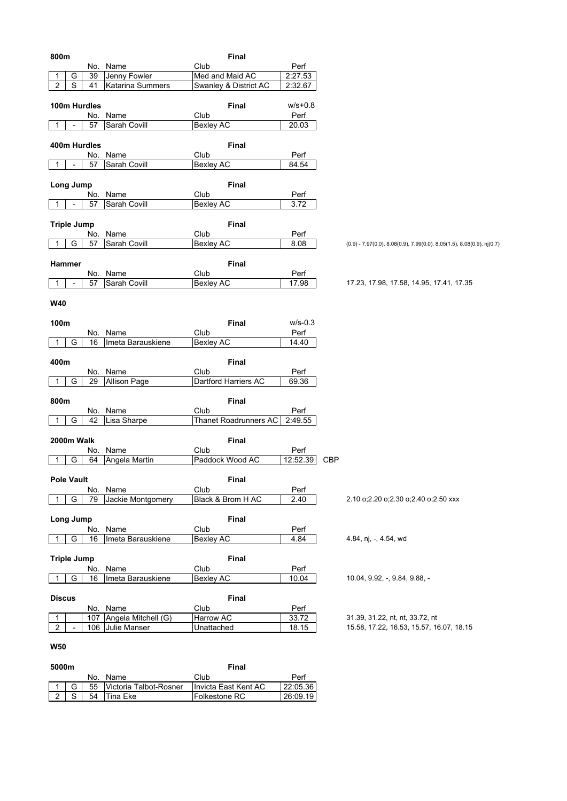| 800m                                                 | <b>Final</b>             |               |                                                                             |
|------------------------------------------------------|--------------------------|---------------|-----------------------------------------------------------------------------|
| No. Name                                             | Club                     | Perf          |                                                                             |
| Jenny Fowler<br>G<br>39<br>1                         | Med and Maid AC          | 2:27.53       |                                                                             |
| S<br>$\overline{2}$<br><b>Katarina Summers</b><br>41 | Swanley & District AC    | 2:32.67       |                                                                             |
|                                                      |                          |               |                                                                             |
| 100m Hurdles                                         | <b>Final</b>             | $W/s + 0.8$   |                                                                             |
| No.<br>Name                                          | Club                     | Perf          |                                                                             |
| 57<br>Sarah Covill<br>1                              | <b>Bexley AC</b>         | 20.03         |                                                                             |
|                                                      |                          |               |                                                                             |
| 400m Hurdles                                         | Final                    |               |                                                                             |
| No. Name                                             | Club                     | Perf          |                                                                             |
| 57<br>Sarah Covill<br>1                              | <b>Bexley AC</b>         | 84.54         |                                                                             |
|                                                      |                          |               |                                                                             |
| Long Jump                                            | Final                    |               |                                                                             |
| Name<br>No.                                          | Club                     | Perf          |                                                                             |
| 57<br>Sarah Covill<br>1                              | <b>Bexley AC</b>         | 3.72          |                                                                             |
|                                                      |                          |               |                                                                             |
| <b>Triple Jump</b>                                   | <b>Final</b>             |               |                                                                             |
| Name<br>No.                                          | Club                     | Perf          |                                                                             |
| G<br>Sarah Covill<br>57<br>1                         | <b>Bexley AC</b>         | 8.08          | $(0.9) - 7.97(0.0), 8.08(0.9), 7.99(0.0), 8.05(1.5), 8.08(0.9),$ nj $(0.7)$ |
|                                                      |                          |               |                                                                             |
| Hammer                                               | <b>Final</b>             |               |                                                                             |
| No. Name<br>57                                       | Club<br>Bexley AC        | Perf          | 17.23, 17.98, 17.58, 14.95, 17.41, 17.35                                    |
| Sarah Covill<br>1                                    |                          | 17.98         |                                                                             |
|                                                      |                          |               |                                                                             |
| <b>W40</b>                                           |                          |               |                                                                             |
| 100m                                                 | Final                    | $W/S-0.3$     |                                                                             |
| No. Name                                             | Club                     | Perf          |                                                                             |
| G<br>Imeta Barauskiene<br>16<br>1                    | <b>Bexley AC</b>         | 14.40         |                                                                             |
|                                                      |                          |               |                                                                             |
| 400m                                                 | <b>Final</b>             |               |                                                                             |
| No. Name                                             | Club                     | Perf          |                                                                             |
| <b>Allison Page</b><br>G<br>29<br>1                  | Dartford Harriers AC     | 69.36         |                                                                             |
|                                                      |                          |               |                                                                             |
| 800m                                                 | <b>Final</b>             |               |                                                                             |
| Name<br>No.                                          | Club                     | Perf          |                                                                             |
| G<br>42<br>Lisa Sharpe<br>1                          | Thanet Roadrunners AC    | 2:49.55       |                                                                             |
|                                                      |                          |               |                                                                             |
| 2000m Walk                                           | <b>Final</b>             |               |                                                                             |
| Name<br>No.                                          | Club                     | Perf          |                                                                             |
| Angela Martin<br>G<br>64                             | Paddock Wood AC          | 12:52.39      | CBP                                                                         |
|                                                      |                          |               |                                                                             |
| <b>Pole Vault</b>                                    | Final                    |               |                                                                             |
| No. Name                                             | Club                     | Perf          |                                                                             |
| G<br>Jackie Montgomery<br>79<br>1                    | Black & Brom H AC        | 2.40          | 2.10 o;2.20 o;2.30 o;2.40 o;2.50 xxx                                        |
|                                                      |                          |               |                                                                             |
| Long Jump                                            | Final                    |               |                                                                             |
| No.<br>Name                                          | Club                     | Perf          |                                                                             |
| G<br>Imeta Barauskiene<br>16<br>1                    | <b>Bexley AC</b>         | 4.84          | 4.84, nj, -, 4.54, wd                                                       |
|                                                      |                          |               |                                                                             |
| <b>Triple Jump</b>                                   | <b>Final</b>             |               |                                                                             |
| Name<br>No.                                          | Club                     | Perf          |                                                                             |
| G<br>Imeta Barauskiene<br>16<br>1                    | <b>Bexley AC</b>         | 10.04         | 10.04, 9.92, -, 9.84, 9.88, -                                               |
|                                                      |                          |               |                                                                             |
| <b>Discus</b>                                        | <b>Final</b>             |               |                                                                             |
| No. Name<br>107 Angela Mitchell (G)<br>$\mathbf{1}$  | Club<br><b>Harrow AC</b> | Perf<br>33.72 | 31.39, 31.22, nt, nt, 33.72, nt                                             |
| $\overline{2}$<br>106 Julie Manser                   | Unattached               | 18.15         | 15.58, 17.22, 16.53, 15.57, 16.07, 18.15                                    |
|                                                      |                          |               |                                                                             |
| <b>W50</b>                                           |                          |               |                                                                             |
|                                                      |                          |               |                                                                             |
| 5000m                                                | Final                    |               |                                                                             |
|                                                      |                          |               |                                                                             |

| JUUUIII |  |                                                            | .             |          |
|---------|--|------------------------------------------------------------|---------------|----------|
|         |  | No. Name                                                   | Club          | Perf     |
|         |  | 1   G   55   Victoria Talbot-Rosner   Invicta East Kent AC |               | 22:05.36 |
|         |  | 2 S   54 Tina Eke                                          | Folkestone RC | 26:09.19 |

 $\overline{1}$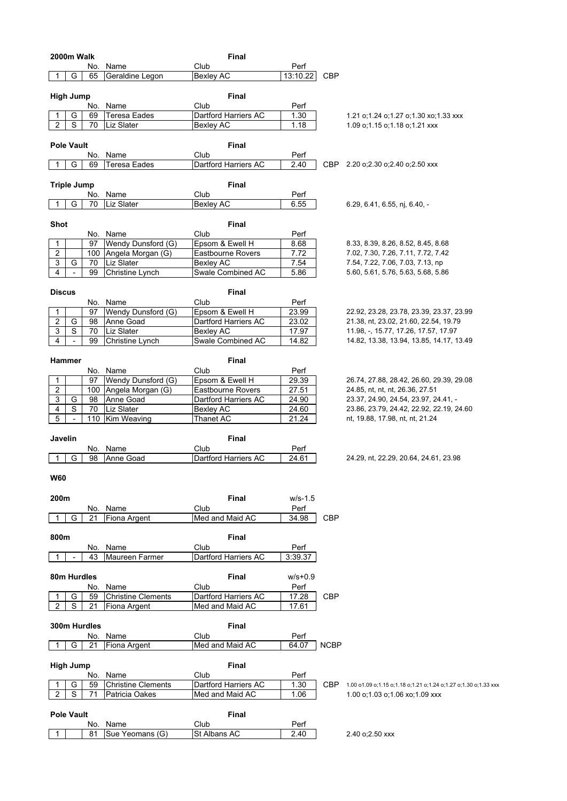| 2000m Walk                                       | Final                    |              |             |                                                                 |
|--------------------------------------------------|--------------------------|--------------|-------------|-----------------------------------------------------------------|
| Name<br>No.                                      | Club                     | Perf         |             |                                                                 |
| Geraldine Legon<br>G<br>65<br>$\mathbf 1$        | <b>Bexley AC</b>         | 13:10.22     | <b>CBP</b>  |                                                                 |
|                                                  |                          |              |             |                                                                 |
| <b>High Jump</b>                                 | <b>Final</b>             |              |             |                                                                 |
| Name<br>No.                                      | Club                     | Perf         |             |                                                                 |
| <b>Teresa Eades</b><br>G<br>69<br>1              | Dartford Harriers AC     | 1.30         |             | 1.21 o;1.24 o;1.27 o;1.30 xo;1.33 xxx                           |
| $\overline{2}$<br>S<br>70<br>Liz Slater          | <b>Bexley AC</b>         | 1.18         |             | 1.09 o; 1.15 o; 1.18 o; 1.21 xxx                                |
|                                                  |                          |              |             |                                                                 |
| <b>Pole Vault</b>                                | Final                    |              |             |                                                                 |
|                                                  | Club                     |              |             |                                                                 |
| No. Name<br>1                                    |                          | Perf<br>2.40 | CBP         | 2.20 o;2.30 o;2.40 o;2.50 xxx                                   |
| Teresa Eades<br>G<br>69                          | Dartford Harriers AC     |              |             |                                                                 |
|                                                  |                          |              |             |                                                                 |
| <b>Triple Jump</b>                               | <b>Final</b>             |              |             |                                                                 |
| No. Name                                         | Club                     | Perf         |             |                                                                 |
| G<br><b>Liz Slater</b><br>70<br>1                | <b>Bexley AC</b>         | 6.55         |             | 6.29, 6.41, 6.55, nj, 6.40, -                                   |
|                                                  |                          |              |             |                                                                 |
| Shot                                             | Final                    |              |             |                                                                 |
| No. Name                                         | Club                     | Perf         |             |                                                                 |
| Wendy Dunsford (G)<br>97<br>1                    | Epsom & Ewell H          | 8.68         |             | 8.33, 8.39, 8.26, 8.52, 8.45, 8.68                              |
| $\overline{2}$<br>100<br>Angela Morgan (G)       | Eastbourne Rovers        | 7.72         |             | 7.02, 7.30, 7.26, 7.11, 7.72, 7.42                              |
| 3<br>G<br><b>Liz Slater</b><br>70                | Bexley AC                | 7.54         |             | 7.54, 7.22, 7.06, 7.03, 7.13, np                                |
| 4<br>99<br>Christine Lynch<br>$\blacksquare$     | Swale Combined AC        | 5.86         |             | 5.60, 5.61, 5.76, 5.63, 5.68, 5.86                              |
|                                                  |                          |              |             |                                                                 |
| <b>Discus</b>                                    | Final                    |              |             |                                                                 |
| No. Name                                         | Club                     | Perf         |             |                                                                 |
| Wendy Dunsford (G)<br>97<br>1                    | Epsom & Ewell H          | 23.99        |             | 22.92, 23.28, 23.78, 23.39, 23.37, 23.99                        |
| $\boldsymbol{2}$<br>G<br>Anne Goad<br>98         | Dartford Harriers AC     | 23.02        |             | 21.38, nt, 23.02, 21.60, 22.54, 19.79                           |
| 3<br>S<br>70                                     | <b>Bexley AC</b>         | 17.97        |             |                                                                 |
| Liz Slater                                       | Swale Combined AC        |              |             | 11.98, -, 15.77, 17.26, 17.57, 17.97                            |
| $\overline{4}$<br>99<br>Christine Lynch          |                          | 14.82        |             | 14.82, 13.38, 13.94, 13.85, 14.17, 13.49                        |
|                                                  |                          |              |             |                                                                 |
| Hammer                                           | Final                    |              |             |                                                                 |
| No. Name                                         | Club                     | Perf         |             |                                                                 |
| Wendy Dunsford (G)<br>1<br>97                    | Epsom & Ewell H          | 29.39        |             | 26.74, 27.88, 28.42, 26.60, 29.39, 29.08                        |
| $\overline{2}$<br>Angela Morgan (G)<br>100       | <b>Eastbourne Rovers</b> | 27.51        |             | 24.85, nt, nt, nt, 26.36, 27.51                                 |
| $\overline{3}$<br>Anne Goad<br>G<br>98           | Dartford Harriers AC     | 24.90        |             | 23.37, 24.90, 24.54, 23.97, 24.41, -                            |
| $\overline{\mathbf{4}}$<br>S<br>Liz Slater<br>70 | Bexley AC                | 24.60        |             | 23.86, 23.79, 24.42, 22.92, 22.19, 24.60                        |
| 5<br>110<br>Kim Weaving<br>$\overline{a}$        | Thanet AC                | 21.24        |             | nt, 19.88, 17.98, nt, nt, 21.24                                 |
|                                                  |                          |              |             |                                                                 |
| Javelin                                          | Final                    |              |             |                                                                 |
| No. Name                                         | Club                     | Perf         |             |                                                                 |
| G<br>98<br>Anne Goad<br>1                        | Dartford Harriers AC     | 24.61        |             | 24.29, nt, 22.29, 20.64, 24.61, 23.98                           |
|                                                  |                          |              |             |                                                                 |
| <b>W60</b>                                       |                          |              |             |                                                                 |
|                                                  |                          |              |             |                                                                 |
|                                                  |                          |              |             |                                                                 |
| 200m                                             | Final                    | $W/S-1.5$    |             |                                                                 |
| No. Name                                         | Club                     | Perf         |             |                                                                 |
| G<br>Fiona Argent<br>21<br>1                     | Med and Maid AC          | 34.98        | <b>CBP</b>  |                                                                 |
|                                                  |                          |              |             |                                                                 |
| 800m                                             | <b>Final</b>             |              |             |                                                                 |
| No. Name                                         | Club                     | Perf         |             |                                                                 |
| Maureen Farmer<br>43<br>1                        | Dartford Harriers AC     | 3:39.37      |             |                                                                 |
|                                                  |                          |              |             |                                                                 |
| 80m Hurdles                                      | Final                    | w/s+0.9      |             |                                                                 |
| Name<br>No.                                      | Club                     | Perf         |             |                                                                 |
| <b>Christine Clements</b><br>G<br>59<br>1        | Dartford Harriers AC     | 17.28        | <b>CBP</b>  |                                                                 |
| $\overline{2}$<br>S<br>21<br>Fiona Argent        |                          |              |             |                                                                 |
|                                                  |                          |              |             |                                                                 |
|                                                  | Med and Maid AC          | 17.61        |             |                                                                 |
|                                                  |                          |              |             |                                                                 |
| 300m Hurdles                                     | Final                    |              |             |                                                                 |
| No. Name                                         | Club                     | Perf         |             |                                                                 |
| G<br>21<br>Fiona Argent<br>1                     | Med and Maid AC          | 64.07        | <b>NCBP</b> |                                                                 |
|                                                  |                          |              |             |                                                                 |
| <b>High Jump</b>                                 | Final                    |              |             |                                                                 |
| No.<br>Name                                      | Club                     | Perf         |             |                                                                 |
| G<br>59<br><b>Christine Clements</b><br>1        | Dartford Harriers AC     | 1.30         | CBP.        | 1.00 o1.09 o;1.15 o;1.18 o;1.21 o;1.24 o;1.27 o;1.30 o;1.33 xxx |
| $\overline{2}$<br>S<br>Patricia Oakes<br>71      | Med and Maid AC          | 1.06         |             | 1.00 o;1.03 o;1.06 xo;1.09 xxx                                  |
|                                                  |                          |              |             |                                                                 |
| <b>Pole Vault</b>                                | Final                    |              |             |                                                                 |
| No. Name                                         | Club                     |              |             |                                                                 |
| Sue Yeomans (G)<br>$\mathbf 1$<br>81             | St Albans AC             | Perf<br>2.40 |             | 2.40 o; 2.50 xxx                                                |